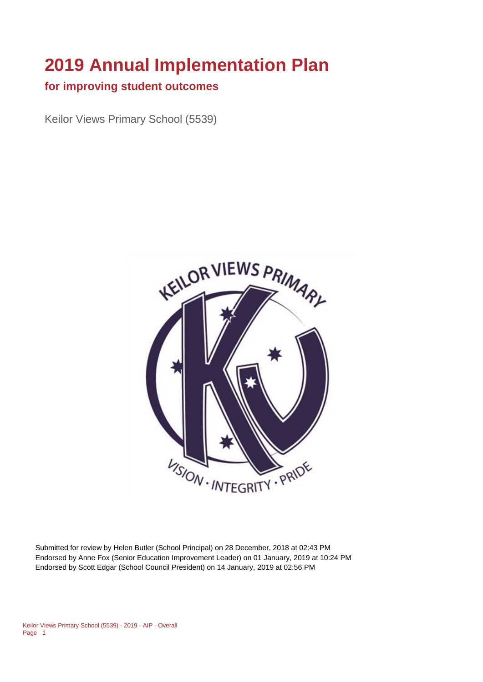## **2019 Annual Implementation Plan**

## **for improving student outcomes**

Keilor Views Primary School (5539)



Submitted for review by Helen Butler (School Principal) on 28 December, 2018 at 02:43 PM Endorsed by Anne Fox (Senior Education Improvement Leader) on 01 January, 2019 at 10:24 PM Endorsed by Scott Edgar (School Council President) on 14 January, 2019 at 02:56 PM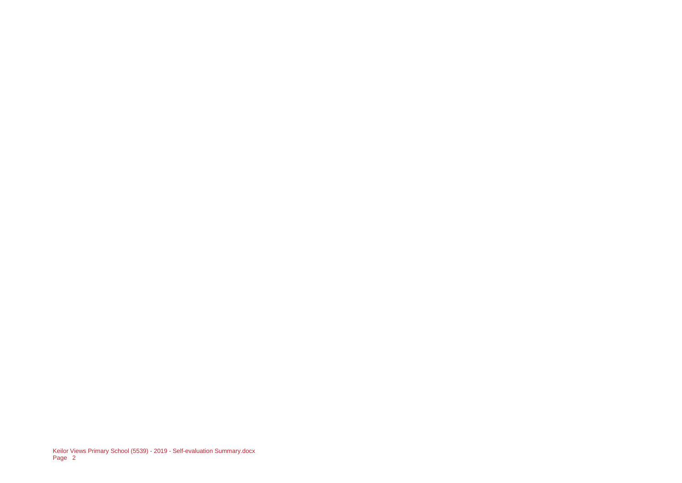Keilor Views Primary School (5539) - 2019 - Self-evaluation Summary.docx Page 2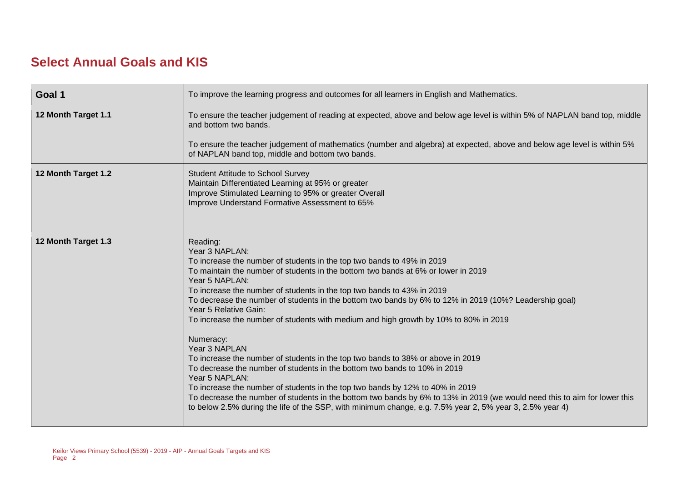## **Select Annual Goals and KIS**

| Goal 1              | To improve the learning progress and outcomes for all learners in English and Mathematics.                                                                                                                                                                                                                                                                                                                                                                                                                                                                                                                                                                                                                                                                                                                                                                                                                                                                                                                                                                 |
|---------------------|------------------------------------------------------------------------------------------------------------------------------------------------------------------------------------------------------------------------------------------------------------------------------------------------------------------------------------------------------------------------------------------------------------------------------------------------------------------------------------------------------------------------------------------------------------------------------------------------------------------------------------------------------------------------------------------------------------------------------------------------------------------------------------------------------------------------------------------------------------------------------------------------------------------------------------------------------------------------------------------------------------------------------------------------------------|
| 12 Month Target 1.1 | To ensure the teacher judgement of reading at expected, above and below age level is within 5% of NAPLAN band top, middle<br>and bottom two bands.                                                                                                                                                                                                                                                                                                                                                                                                                                                                                                                                                                                                                                                                                                                                                                                                                                                                                                         |
|                     | To ensure the teacher judgement of mathematics (number and algebra) at expected, above and below age level is within 5%<br>of NAPLAN band top, middle and bottom two bands.                                                                                                                                                                                                                                                                                                                                                                                                                                                                                                                                                                                                                                                                                                                                                                                                                                                                                |
| 12 Month Target 1.2 | Student Attitude to School Survey<br>Maintain Differentiated Learning at 95% or greater<br>Improve Stimulated Learning to 95% or greater Overall<br>Improve Understand Formative Assessment to 65%                                                                                                                                                                                                                                                                                                                                                                                                                                                                                                                                                                                                                                                                                                                                                                                                                                                         |
| 12 Month Target 1.3 | Reading:<br>Year 3 NAPLAN:<br>To increase the number of students in the top two bands to 49% in 2019<br>To maintain the number of students in the bottom two bands at 6% or lower in 2019<br>Year 5 NAPLAN:<br>To increase the number of students in the top two bands to 43% in 2019<br>To decrease the number of students in the bottom two bands by 6% to 12% in 2019 (10%? Leadership goal)<br>Year 5 Relative Gain:<br>To increase the number of students with medium and high growth by 10% to 80% in 2019<br>Numeracy:<br>Year 3 NAPLAN<br>To increase the number of students in the top two bands to 38% or above in 2019<br>To decrease the number of students in the bottom two bands to 10% in 2019<br>Year 5 NAPLAN:<br>To increase the number of students in the top two bands by 12% to 40% in 2019<br>To decrease the number of students in the bottom two bands by 6% to 13% in 2019 (we would need this to aim for lower this<br>to below 2.5% during the life of the SSP, with minimum change, e.g. 7.5% year 2, 5% year 3, 2.5% year 4) |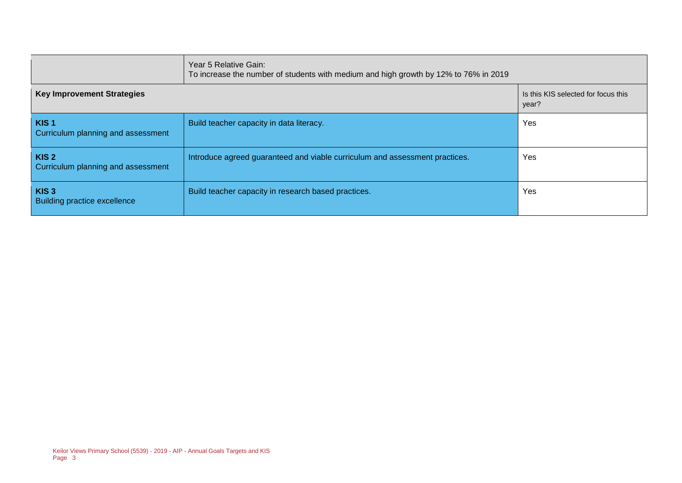|                                                        | Year 5 Relative Gain:<br>To increase the number of students with medium and high growth by 12% to 76% in 2019 |                                              |
|--------------------------------------------------------|---------------------------------------------------------------------------------------------------------------|----------------------------------------------|
| <b>Key Improvement Strategies</b>                      |                                                                                                               | Is this KIS selected for focus this<br>year? |
| KIS <sub>1</sub><br>Curriculum planning and assessment | Build teacher capacity in data literacy.                                                                      | Yes                                          |
| KIS <sub>2</sub><br>Curriculum planning and assessment | Introduce agreed guaranteed and viable curriculum and assessment practices.                                   | Yes                                          |
| KIS <sub>3</sub><br>Building practice excellence       | Build teacher capacity in research based practices.                                                           | Yes                                          |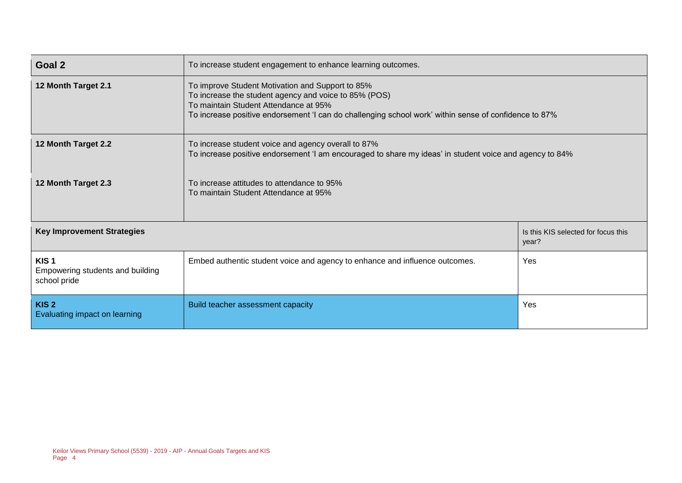| Goal 2                                                               | To increase student engagement to enhance learning outcomes.                                                                                                                                                                                                |                                              |
|----------------------------------------------------------------------|-------------------------------------------------------------------------------------------------------------------------------------------------------------------------------------------------------------------------------------------------------------|----------------------------------------------|
| 12 Month Target 2.1                                                  | To improve Student Motivation and Support to 85%<br>To increase the student agency and voice to 85% (POS)<br>To maintain Student Attendance at 95%<br>To increase positive endorsement 'I can do challenging school work' within sense of confidence to 87% |                                              |
| 12 Month Target 2.2                                                  | To increase student voice and agency overall to 87%<br>To increase positive endorsement 'I am encouraged to share my ideas' in student voice and agency to 84%                                                                                              |                                              |
| 12 Month Target 2.3                                                  | To increase attitudes to attendance to 95%<br>To maintain Student Attendance at 95%                                                                                                                                                                         |                                              |
| <b>Key Improvement Strategies</b>                                    |                                                                                                                                                                                                                                                             | Is this KIS selected for focus this<br>year? |
| KIS <sub>1</sub><br>Empowering students and building<br>school pride | Embed authentic student voice and agency to enhance and influence outcomes.                                                                                                                                                                                 | Yes                                          |
| KIS <sub>2</sub><br>Evaluating impact on learning                    | Build teacher assessment capacity                                                                                                                                                                                                                           | Yes                                          |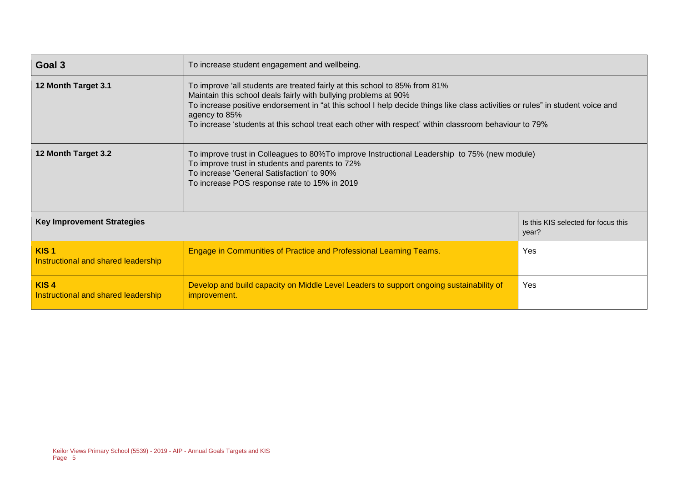| Goal 3                                                  | To increase student engagement and wellbeing.                                                                                                                                                                                                                                                                                                                                                            |                                              |
|---------------------------------------------------------|----------------------------------------------------------------------------------------------------------------------------------------------------------------------------------------------------------------------------------------------------------------------------------------------------------------------------------------------------------------------------------------------------------|----------------------------------------------|
| 12 Month Target 3.1                                     | To improve 'all students are treated fairly at this school to 85% from 81%<br>Maintain this school deals fairly with bullying problems at 90%<br>To increase positive endorsement in "at this school I help decide things like class activities or rules" in student voice and<br>agency to 85%<br>To increase 'students at this school treat each other with respect' within classroom behaviour to 79% |                                              |
| 12 Month Target 3.2                                     | To improve trust in Colleagues to 80%To improve Instructional Leadership to 75% (new module)<br>To improve trust in students and parents to 72%<br>To increase 'General Satisfaction' to 90%<br>To increase POS response rate to 15% in 2019                                                                                                                                                             |                                              |
| <b>Key Improvement Strategies</b>                       |                                                                                                                                                                                                                                                                                                                                                                                                          | Is this KIS selected for focus this<br>year? |
| KIS <sub>1</sub><br>Instructional and shared leadership | Engage in Communities of Practice and Professional Learning Teams.                                                                                                                                                                                                                                                                                                                                       | Yes                                          |
| KIS <sub>4</sub><br>Instructional and shared leadership | Develop and build capacity on Middle Level Leaders to support ongoing sustainability of<br>improvement.                                                                                                                                                                                                                                                                                                  | <b>Yes</b>                                   |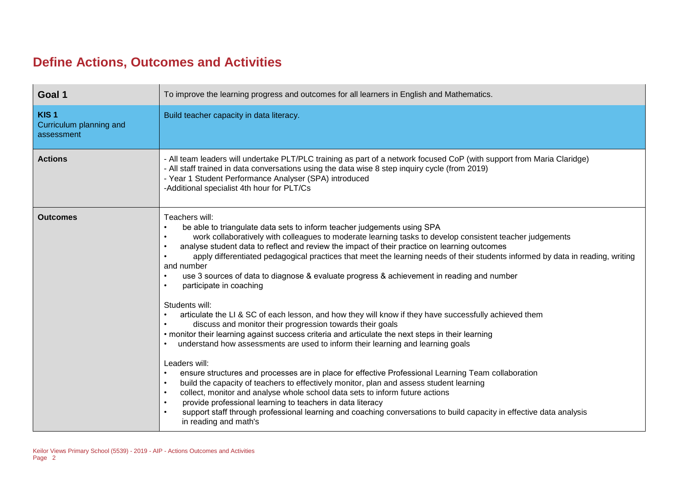## **Define Actions, Outcomes and Activities**

| Goal 1                                                    | To improve the learning progress and outcomes for all learners in English and Mathematics.                                                                                                                                                                                                                                                                                                                                                                                                                                                                                                                                                                                                                                                                                                                                                                                                                                      |
|-----------------------------------------------------------|---------------------------------------------------------------------------------------------------------------------------------------------------------------------------------------------------------------------------------------------------------------------------------------------------------------------------------------------------------------------------------------------------------------------------------------------------------------------------------------------------------------------------------------------------------------------------------------------------------------------------------------------------------------------------------------------------------------------------------------------------------------------------------------------------------------------------------------------------------------------------------------------------------------------------------|
| KIS <sub>1</sub><br>Curriculum planning and<br>assessment | Build teacher capacity in data literacy.                                                                                                                                                                                                                                                                                                                                                                                                                                                                                                                                                                                                                                                                                                                                                                                                                                                                                        |
| <b>Actions</b>                                            | - All team leaders will undertake PLT/PLC training as part of a network focused CoP (with support from Maria Claridge)<br>- All staff trained in data conversations using the data wise 8 step inquiry cycle (from 2019)<br>- Year 1 Student Performance Analyser (SPA) introduced<br>-Additional specialist 4th hour for PLT/Cs                                                                                                                                                                                                                                                                                                                                                                                                                                                                                                                                                                                                |
| <b>Outcomes</b>                                           | Teachers will:<br>be able to triangulate data sets to inform teacher judgements using SPA<br>work collaboratively with colleagues to moderate learning tasks to develop consistent teacher judgements<br>analyse student data to reflect and review the impact of their practice on learning outcomes<br>$\bullet$<br>apply differentiated pedagogical practices that meet the learning needs of their students informed by data in reading, writing<br>and number<br>use 3 sources of data to diagnose & evaluate progress & achievement in reading and number<br>participate in coaching<br>Students will:                                                                                                                                                                                                                                                                                                                    |
|                                                           | articulate the LI & SC of each lesson, and how they will know if they have successfully achieved them<br>discuss and monitor their progression towards their goals<br>• monitor their learning against success criteria and articulate the next steps in their learning<br>understand how assessments are used to inform their learning and learning goals<br>Leaders will:<br>ensure structures and processes are in place for effective Professional Learning Team collaboration<br>build the capacity of teachers to effectively monitor, plan and assess student learning<br>$\bullet$<br>collect, monitor and analyse whole school data sets to inform future actions<br>$\bullet$<br>provide professional learning to teachers in data literacy<br>$\bullet$<br>support staff through professional learning and coaching conversations to build capacity in effective data analysis<br>$\bullet$<br>in reading and math's |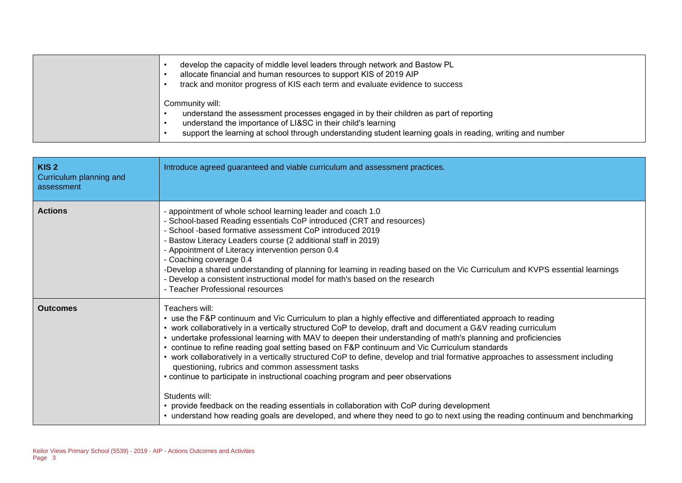| develop the capacity of middle level leaders through network and Bastow PL<br>allocate financial and human resources to support KIS of 2019 AIP<br>track and monitor progress of KIS each term and evaluate evidence to success                                                        |
|----------------------------------------------------------------------------------------------------------------------------------------------------------------------------------------------------------------------------------------------------------------------------------------|
| Community will:<br>understand the assessment processes engaged in by their children as part of reporting<br>understand the importance of LI&SC in their child's learning<br>support the learning at school through understanding student learning goals in reading, writing and number |

| KIS <sub>2</sub><br>Curriculum planning and<br>assessment | Introduce agreed guaranteed and viable curriculum and assessment practices.                                                                                                                                                                                                                                                                                                                                                                                                                                                                                                                                                                                                                                                                                                                                                                                                                                                                                                                  |
|-----------------------------------------------------------|----------------------------------------------------------------------------------------------------------------------------------------------------------------------------------------------------------------------------------------------------------------------------------------------------------------------------------------------------------------------------------------------------------------------------------------------------------------------------------------------------------------------------------------------------------------------------------------------------------------------------------------------------------------------------------------------------------------------------------------------------------------------------------------------------------------------------------------------------------------------------------------------------------------------------------------------------------------------------------------------|
| <b>Actions</b>                                            | appointment of whole school learning leader and coach 1.0<br>School-based Reading essentials CoP introduced (CRT and resources)<br>School-based formative assessment CoP introduced 2019<br>Bastow Literacy Leaders course (2 additional staff in 2019)<br>Appointment of Literacy intervention person 0.4<br>- Coaching coverage 0.4<br>-Develop a shared understanding of planning for learning in reading based on the Vic Curriculum and KVPS essential learnings<br>- Develop a consistent instructional model for math's based on the research<br>- Teacher Professional resources                                                                                                                                                                                                                                                                                                                                                                                                     |
| <b>Outcomes</b>                                           | Teachers will:<br>• use the F&P continuum and Vic Curriculum to plan a highly effective and differentiated approach to reading<br>• work collaboratively in a vertically structured CoP to develop, draft and document a G&V reading curriculum<br>• undertake professional learning with MAV to deepen their understanding of math's planning and proficiencies<br>• continue to refine reading goal setting based on F&P continuum and Vic Curriculum standards<br>• work collaboratively in a vertically structured CoP to define, develop and trial formative approaches to assessment including<br>questioning, rubrics and common assessment tasks<br>• continue to participate in instructional coaching program and peer observations<br>Students will:<br>• provide feedback on the reading essentials in collaboration with CoP during development<br>• understand how reading goals are developed, and where they need to go to next using the reading continuum and benchmarking |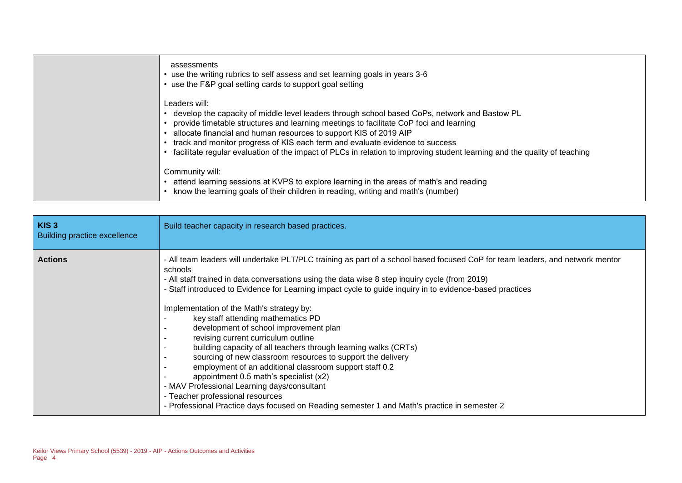| assessments<br>• use the writing rubrics to self assess and set learning goals in years 3-6<br>• use the F&P goal setting cards to support goal setting                                                                                                                                                                                                                                                                                                                                    |
|--------------------------------------------------------------------------------------------------------------------------------------------------------------------------------------------------------------------------------------------------------------------------------------------------------------------------------------------------------------------------------------------------------------------------------------------------------------------------------------------|
| Leaders will:<br>develop the capacity of middle level leaders through school based CoPs, network and Bastow PL<br>provide timetable structures and learning meetings to facilitate CoP foci and learning<br>allocate financial and human resources to support KIS of 2019 AIP<br>track and monitor progress of KIS each term and evaluate evidence to success<br>facilitate regular evaluation of the impact of PLCs in relation to improving student learning and the quality of teaching |
| Community will:<br>attend learning sessions at KVPS to explore learning in the areas of math's and reading<br>know the learning goals of their children in reading, writing and math's (number)                                                                                                                                                                                                                                                                                            |

| KIS <sub>3</sub><br><b>Building practice excellence</b> | Build teacher capacity in research based practices.                                                                                                                                                                                                                                                                                                                                                                                                                                                                                                                                                                                                                                                                                                                                                                                                                                                                                                  |
|---------------------------------------------------------|------------------------------------------------------------------------------------------------------------------------------------------------------------------------------------------------------------------------------------------------------------------------------------------------------------------------------------------------------------------------------------------------------------------------------------------------------------------------------------------------------------------------------------------------------------------------------------------------------------------------------------------------------------------------------------------------------------------------------------------------------------------------------------------------------------------------------------------------------------------------------------------------------------------------------------------------------|
| <b>Actions</b>                                          | - All team leaders will undertake PLT/PLC training as part of a school based focused CoP for team leaders, and network mentor<br>schools<br>- All staff trained in data conversations using the data wise 8 step inquiry cycle (from 2019)<br>- Staff introduced to Evidence for Learning impact cycle to guide inquiry in to evidence-based practices<br>Implementation of the Math's strategy by:<br>key staff attending mathematics PD<br>development of school improvement plan<br>revising current curriculum outline<br>building capacity of all teachers through learning walks (CRTs)<br>sourcing of new classroom resources to support the delivery<br>employment of an additional classroom support staff 0.2<br>appointment 0.5 math's specialist (x2)<br>- MAV Professional Learning days/consultant<br>- Teacher professional resources<br>- Professional Practice days focused on Reading semester 1 and Math's practice in semester 2 |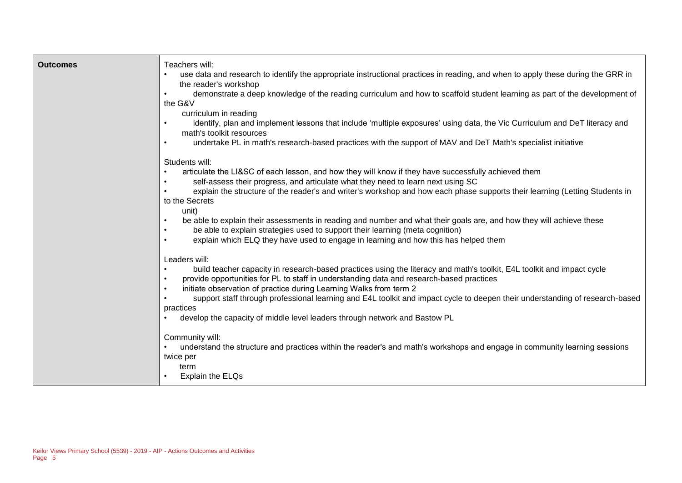| <b>Outcomes</b> | Teachers will:<br>use data and research to identify the appropriate instructional practices in reading, and when to apply these during the GRR in<br>the reader's workshop<br>demonstrate a deep knowledge of the reading curriculum and how to scaffold student learning as part of the development of<br>$\bullet$<br>the G&V<br>curriculum in reading<br>identify, plan and implement lessons that include 'multiple exposures' using data, the Vic Curriculum and DeT literacy and<br>$\bullet$<br>math's toolkit resources<br>undertake PL in math's research-based practices with the support of MAV and DeT Math's specialist initiative                                                                                                                             |
|-----------------|-----------------------------------------------------------------------------------------------------------------------------------------------------------------------------------------------------------------------------------------------------------------------------------------------------------------------------------------------------------------------------------------------------------------------------------------------------------------------------------------------------------------------------------------------------------------------------------------------------------------------------------------------------------------------------------------------------------------------------------------------------------------------------|
|                 | Students will:<br>articulate the LI&SC of each lesson, and how they will know if they have successfully achieved them<br>$\bullet$<br>self-assess their progress, and articulate what they need to learn next using SC<br>explain the structure of the reader's and writer's workshop and how each phase supports their learning (Letting Students in<br>to the Secrets<br>unit)<br>be able to explain their assessments in reading and number and what their goals are, and how they will achieve these<br>$\bullet$<br>be able to explain strategies used to support their learning (meta cognition)<br>explain which ELQ they have used to engage in learning and how this has helped them                                                                               |
|                 | Leaders will:<br>build teacher capacity in research-based practices using the literacy and math's toolkit, E4L toolkit and impact cycle<br>provide opportunities for PL to staff in understanding data and research-based practices<br>$\bullet$<br>initiate observation of practice during Learning Walks from term 2<br>$\bullet$<br>support staff through professional learning and E4L toolkit and impact cycle to deepen their understanding of research-based<br>practices<br>develop the capacity of middle level leaders through network and Bastow PL<br>Community will:<br>understand the structure and practices within the reader's and math's workshops and engage in community learning sessions<br>twice per<br>term<br><b>Explain the ELQs</b><br>$\bullet$ |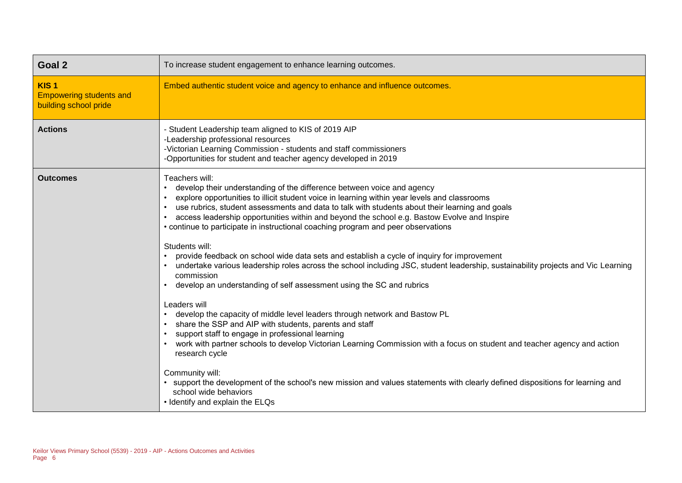| Goal 2                                                                      | To increase student engagement to enhance learning outcomes.                                                                                                                                                                                                                                                                                                                                                                                                                                                                                                                                                                                                                                                                                                                                                                                                                                                                                                                                                                                                                                                                                                                                                                                                                                                                                                                                        |
|-----------------------------------------------------------------------------|-----------------------------------------------------------------------------------------------------------------------------------------------------------------------------------------------------------------------------------------------------------------------------------------------------------------------------------------------------------------------------------------------------------------------------------------------------------------------------------------------------------------------------------------------------------------------------------------------------------------------------------------------------------------------------------------------------------------------------------------------------------------------------------------------------------------------------------------------------------------------------------------------------------------------------------------------------------------------------------------------------------------------------------------------------------------------------------------------------------------------------------------------------------------------------------------------------------------------------------------------------------------------------------------------------------------------------------------------------------------------------------------------------|
| KIS <sub>1</sub><br><b>Empowering students and</b><br>building school pride | Embed authentic student voice and agency to enhance and influence outcomes.                                                                                                                                                                                                                                                                                                                                                                                                                                                                                                                                                                                                                                                                                                                                                                                                                                                                                                                                                                                                                                                                                                                                                                                                                                                                                                                         |
| <b>Actions</b>                                                              | Student Leadership team aligned to KIS of 2019 AIP<br>-Leadership professional resources<br>-Victorian Learning Commission - students and staff commissioners<br>-Opportunities for student and teacher agency developed in 2019                                                                                                                                                                                                                                                                                                                                                                                                                                                                                                                                                                                                                                                                                                                                                                                                                                                                                                                                                                                                                                                                                                                                                                    |
| <b>Outcomes</b>                                                             | Teachers will:<br>develop their understanding of the difference between voice and agency<br>explore opportunities to illicit student voice in learning within year levels and classrooms<br>use rubrics, student assessments and data to talk with students about their learning and goals<br>access leadership opportunities within and beyond the school e.g. Bastow Evolve and Inspire<br>• continue to participate in instructional coaching program and peer observations<br>Students will:<br>provide feedback on school wide data sets and establish a cycle of inquiry for improvement<br>undertake various leadership roles across the school including JSC, student leadership, sustainability projects and Vic Learning<br>commission<br>develop an understanding of self assessment using the SC and rubrics<br>Leaders will<br>develop the capacity of middle level leaders through network and Bastow PL<br>share the SSP and AIP with students, parents and staff<br>support staff to engage in professional learning<br>work with partner schools to develop Victorian Learning Commission with a focus on student and teacher agency and action<br>research cycle<br>Community will:<br>• support the development of the school's new mission and values statements with clearly defined dispositions for learning and<br>school wide behaviors<br>• Identify and explain the ELQs |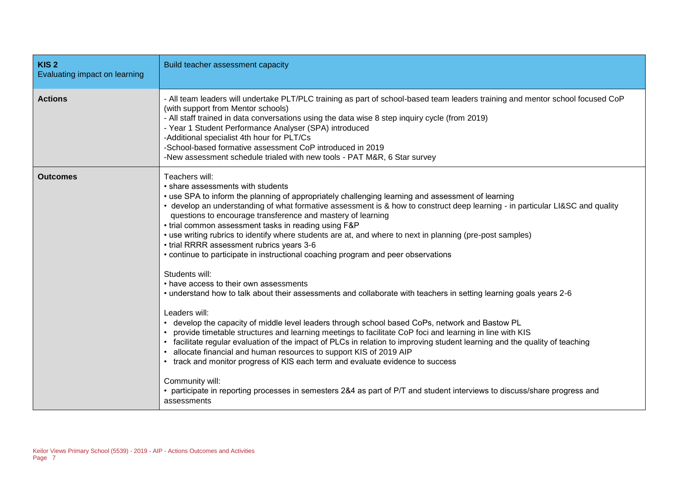| KIS <sub>2</sub><br>Evaluating impact on learning | Build teacher assessment capacity                                                                                                                                                                                                                                                                                                                                                                                                                                                                                                                                                                                                                                                                                                                                                                                                                                                                                                                                                                                                                                                                                                                                                                                                                                                                                                                                                                                                                                                                                                         |
|---------------------------------------------------|-------------------------------------------------------------------------------------------------------------------------------------------------------------------------------------------------------------------------------------------------------------------------------------------------------------------------------------------------------------------------------------------------------------------------------------------------------------------------------------------------------------------------------------------------------------------------------------------------------------------------------------------------------------------------------------------------------------------------------------------------------------------------------------------------------------------------------------------------------------------------------------------------------------------------------------------------------------------------------------------------------------------------------------------------------------------------------------------------------------------------------------------------------------------------------------------------------------------------------------------------------------------------------------------------------------------------------------------------------------------------------------------------------------------------------------------------------------------------------------------------------------------------------------------|
| <b>Actions</b>                                    | - All team leaders will undertake PLT/PLC training as part of school-based team leaders training and mentor school focused CoP<br>(with support from Mentor schools)<br>- All staff trained in data conversations using the data wise 8 step inquiry cycle (from 2019)<br>- Year 1 Student Performance Analyser (SPA) introduced<br>-Additional specialist 4th hour for PLT/Cs<br>-School-based formative assessment CoP introduced in 2019<br>-New assessment schedule trialed with new tools - PAT M&R, 6 Star survey                                                                                                                                                                                                                                                                                                                                                                                                                                                                                                                                                                                                                                                                                                                                                                                                                                                                                                                                                                                                                   |
| <b>Outcomes</b>                                   | Teachers will:<br>• share assessments with students<br>• use SPA to inform the planning of appropriately challenging learning and assessment of learning<br>• develop an understanding of what formative assessment is & how to construct deep learning - in particular LI&SC and quality<br>questions to encourage transference and mastery of learning<br>• trial common assessment tasks in reading using F&P<br>• use writing rubrics to identify where students are at, and where to next in planning (pre-post samples)<br>• trial RRRR assessment rubrics years 3-6<br>• continue to participate in instructional coaching program and peer observations<br>Students will:<br>• have access to their own assessments<br>• understand how to talk about their assessments and collaborate with teachers in setting learning goals years 2-6<br>Leaders will:<br>• develop the capacity of middle level leaders through school based CoPs, network and Bastow PL<br>• provide timetable structures and learning meetings to facilitate CoP foci and learning in line with KIS<br>• facilitate regular evaluation of the impact of PLCs in relation to improving student learning and the quality of teaching<br>• allocate financial and human resources to support KIS of 2019 AIP<br>• track and monitor progress of KIS each term and evaluate evidence to success<br>Community will:<br>• participate in reporting processes in semesters 2&4 as part of P/T and student interviews to discuss/share progress and<br>assessments |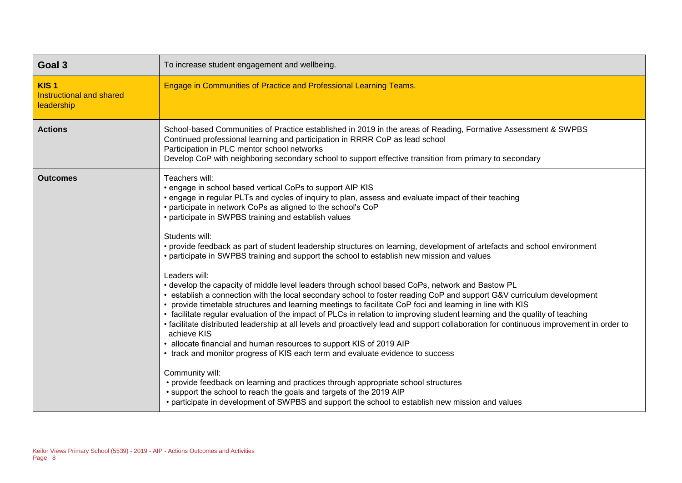| Goal 3                                                     | To increase student engagement and wellbeing.                                                                                                                                                                                                                                                                                                                                                                                                                                                                                                                                                                                                                                                                                                                                                                                                                                                                                                                                                                                                                                                                                                                                                            |
|------------------------------------------------------------|----------------------------------------------------------------------------------------------------------------------------------------------------------------------------------------------------------------------------------------------------------------------------------------------------------------------------------------------------------------------------------------------------------------------------------------------------------------------------------------------------------------------------------------------------------------------------------------------------------------------------------------------------------------------------------------------------------------------------------------------------------------------------------------------------------------------------------------------------------------------------------------------------------------------------------------------------------------------------------------------------------------------------------------------------------------------------------------------------------------------------------------------------------------------------------------------------------|
| KIS <sub>1</sub><br>Instructional and shared<br>leadership | Engage in Communities of Practice and Professional Learning Teams.                                                                                                                                                                                                                                                                                                                                                                                                                                                                                                                                                                                                                                                                                                                                                                                                                                                                                                                                                                                                                                                                                                                                       |
| <b>Actions</b>                                             | School-based Communities of Practice established in 2019 in the areas of Reading, Formative Assessment & SWPBS<br>Continued professional learning and participation in RRRR CoP as lead school<br>Participation in PLC mentor school networks<br>Develop CoP with neighboring secondary school to support effective transition from primary to secondary                                                                                                                                                                                                                                                                                                                                                                                                                                                                                                                                                                                                                                                                                                                                                                                                                                                 |
| <b>Outcomes</b>                                            | Teachers will:<br>• engage in school based vertical CoPs to support AIP KIS<br>• engage in regular PLTs and cycles of inquiry to plan, assess and evaluate impact of their teaching<br>• participate in network CoPs as aligned to the school's CoP<br>• participate in SWPBS training and establish values<br>Students will:<br>• provide feedback as part of student leadership structures on learning, development of artefacts and school environment<br>• participate in SWPBS training and support the school to establish new mission and values<br>Leaders will:<br>• develop the capacity of middle level leaders through school based CoPs, network and Bastow PL<br>• establish a connection with the local secondary school to foster reading CoP and support G&V curriculum development<br>provide timetable structures and learning meetings to facilitate CoP foci and learning in line with KIS<br>• facilitate regular evaluation of the impact of PLCs in relation to improving student learning and the quality of teaching<br>• facilitate distributed leadership at all levels and proactively lead and support collaboration for continuous improvement in order to<br>achieve KIS |
|                                                            | • allocate financial and human resources to support KIS of 2019 AIP<br>• track and monitor progress of KIS each term and evaluate evidence to success<br>Community will:<br>• provide feedback on learning and practices through appropriate school structures<br>• support the school to reach the goals and targets of the 2019 AIP<br>• participate in development of SWPBS and support the school to establish new mission and values                                                                                                                                                                                                                                                                                                                                                                                                                                                                                                                                                                                                                                                                                                                                                                |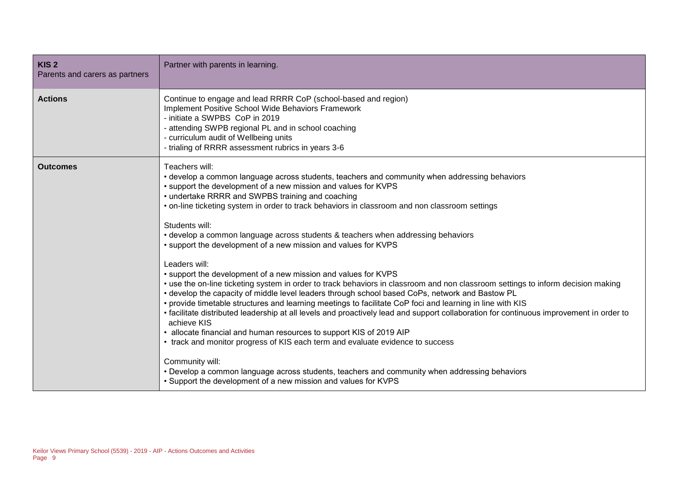| KIS <sub>2</sub><br>Parents and carers as partners | Partner with parents in learning.                                                                                                                                                                                                                                                                                                                                                                                                                                                                                                                                                                                                                                                                                                                                                                                                                                                                                                                                                                                                                                                                                                                                                                                                                                                                                                                                                                                                                             |
|----------------------------------------------------|---------------------------------------------------------------------------------------------------------------------------------------------------------------------------------------------------------------------------------------------------------------------------------------------------------------------------------------------------------------------------------------------------------------------------------------------------------------------------------------------------------------------------------------------------------------------------------------------------------------------------------------------------------------------------------------------------------------------------------------------------------------------------------------------------------------------------------------------------------------------------------------------------------------------------------------------------------------------------------------------------------------------------------------------------------------------------------------------------------------------------------------------------------------------------------------------------------------------------------------------------------------------------------------------------------------------------------------------------------------------------------------------------------------------------------------------------------------|
| <b>Actions</b>                                     | Continue to engage and lead RRRR CoP (school-based and region)<br>Implement Positive School Wide Behaviors Framework<br>- initiate a SWPBS CoP in 2019<br>- attending SWPB regional PL and in school coaching<br>- curriculum audit of Wellbeing units<br>- trialing of RRRR assessment rubrics in years 3-6                                                                                                                                                                                                                                                                                                                                                                                                                                                                                                                                                                                                                                                                                                                                                                                                                                                                                                                                                                                                                                                                                                                                                  |
| <b>Outcomes</b>                                    | Teachers will:<br>• develop a common language across students, teachers and community when addressing behaviors<br>• support the development of a new mission and values for KVPS<br>• undertake RRRR and SWPBS training and coaching<br>• on-line ticketing system in order to track behaviors in classroom and non classroom settings<br>Students will:<br>• develop a common language across students & teachers when addressing behaviors<br>• support the development of a new mission and values for KVPS<br>Leaders will:<br>• support the development of a new mission and values for KVPS<br>• use the on-line ticketing system in order to track behaviors in classroom and non classroom settings to inform decision making<br>• develop the capacity of middle level leaders through school based CoPs, network and Bastow PL<br>• provide timetable structures and learning meetings to facilitate CoP foci and learning in line with KIS<br>• facilitate distributed leadership at all levels and proactively lead and support collaboration for continuous improvement in order to<br>achieve KIS<br>allocate financial and human resources to support KIS of 2019 AIP<br>• track and monitor progress of KIS each term and evaluate evidence to success<br>Community will:<br>• Develop a common language across students, teachers and community when addressing behaviors<br>• Support the development of a new mission and values for KVPS |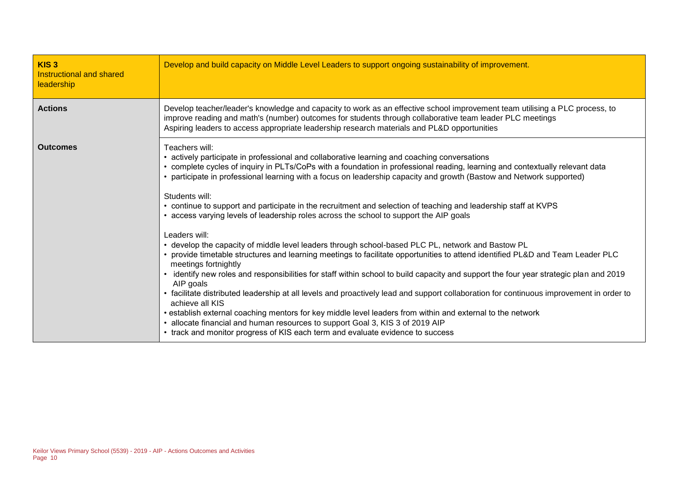| KIS <sub>3</sub><br><b>Instructional and shared</b><br>leadership | Develop and build capacity on Middle Level Leaders to support ongoing sustainability of improvement.                                                                                                                                                                                                                                                                                                                                                                                                                                                                                                                                                                                                                                                                                                                                                                                                                                                                                                                                                                                                                                                                                                                                                                                                                                                                                                                                                                                   |
|-------------------------------------------------------------------|----------------------------------------------------------------------------------------------------------------------------------------------------------------------------------------------------------------------------------------------------------------------------------------------------------------------------------------------------------------------------------------------------------------------------------------------------------------------------------------------------------------------------------------------------------------------------------------------------------------------------------------------------------------------------------------------------------------------------------------------------------------------------------------------------------------------------------------------------------------------------------------------------------------------------------------------------------------------------------------------------------------------------------------------------------------------------------------------------------------------------------------------------------------------------------------------------------------------------------------------------------------------------------------------------------------------------------------------------------------------------------------------------------------------------------------------------------------------------------------|
| <b>Actions</b>                                                    | Develop teacher/leader's knowledge and capacity to work as an effective school improvement team utilising a PLC process, to<br>improve reading and math's (number) outcomes for students through collaborative team leader PLC meetings<br>Aspiring leaders to access appropriate leadership research materials and PL&D opportunities                                                                                                                                                                                                                                                                                                                                                                                                                                                                                                                                                                                                                                                                                                                                                                                                                                                                                                                                                                                                                                                                                                                                                 |
| <b>Outcomes</b>                                                   | Teachers will:<br>• actively participate in professional and collaborative learning and coaching conversations<br>• complete cycles of inquiry in PLTs/CoPs with a foundation in professional reading, learning and contextually relevant data<br>• participate in professional learning with a focus on leadership capacity and growth (Bastow and Network supported)<br>Students will:<br>• continue to support and participate in the recruitment and selection of teaching and leadership staff at KVPS<br>• access varying levels of leadership roles across the school to support the AIP goals<br>Leaders will:<br>• develop the capacity of middle level leaders through school-based PLC PL, network and Bastow PL<br>provide timetable structures and learning meetings to facilitate opportunities to attend identified PL&D and Team Leader PLC<br>meetings fortnightly<br>identify new roles and responsibilities for staff within school to build capacity and support the four year strategic plan and 2019<br>AIP goals<br>• facilitate distributed leadership at all levels and proactively lead and support collaboration for continuous improvement in order to<br>achieve all KIS<br>• establish external coaching mentors for key middle level leaders from within and external to the network<br>• allocate financial and human resources to support Goal 3, KIS 3 of 2019 AIP<br>• track and monitor progress of KIS each term and evaluate evidence to success |